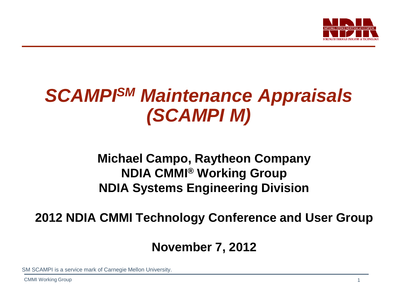

## *SCAMPISM Maintenance Appraisals (SCAMPI M)*

## **Michael Campo, Raytheon Company NDIA CMMI® Working Group NDIA Systems Engineering Division**

### **2012 NDIA CMMI Technology Conference and User Group**

### **November 7, 2012**

SM SCAMPI is a service mark of Carnegie Mellon University.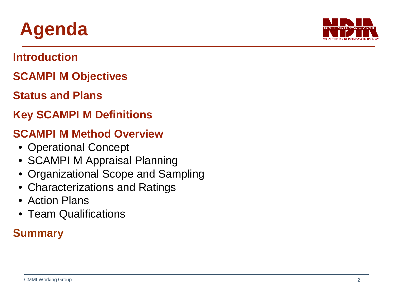## **Agenda**

### **Introduction**

### **SCAMPI M Objectives**

### **Status and Plans**

### **Key SCAMPI M Definitions**

### **SCAMPI M Method Overview**

- Operational Concept
- SCAMPI M Appraisal Planning
- Organizational Scope and Sampling
- Characterizations and Ratings
- Action Plans
- Team Qualifications

## **Summary**

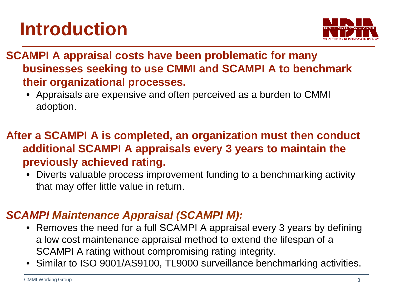# **Introduction**



**SCAMPI A appraisal costs have been problematic for many businesses seeking to use CMMI and SCAMPI A to benchmark their organizational processes.**

• Appraisals are expensive and often perceived as a burden to CMMI adoption.

### **After a SCAMPI A is completed, an organization must then conduct additional SCAMPI A appraisals every 3 years to maintain the previously achieved rating.**

• Diverts valuable process improvement funding to a benchmarking activity that may offer little value in return.

### *SCAMPI Maintenance Appraisal (SCAMPI M):*

- Removes the need for a full SCAMPI A appraisal every 3 years by defining a low cost maintenance appraisal method to extend the lifespan of a SCAMPI A rating without compromising rating integrity.
- Similar to ISO 9001/AS9100, TL9000 surveillance benchmarking activities.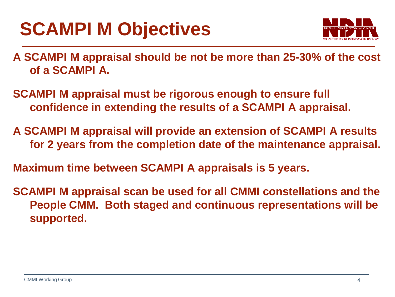# **SCAMPI M Objectives**



**A SCAMPI M appraisal should be not be more than 25-30% of the cost of a SCAMPI A.**

**SCAMPI M appraisal must be rigorous enough to ensure full confidence in extending the results of a SCAMPI A appraisal.**

**A SCAMPI M appraisal will provide an extension of SCAMPI A results for 2 years from the completion date of the maintenance appraisal.**

**Maximum time between SCAMPI A appraisals is 5 years.**

**SCAMPI M appraisal scan be used for all CMMI constellations and the People CMM. Both staged and continuous representations will be supported.**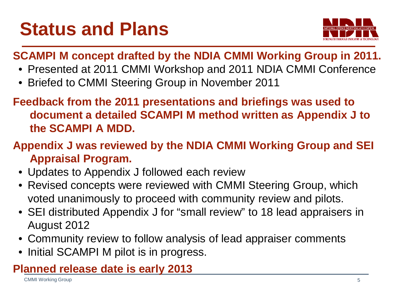# **Status and Plans**



### **SCAMPI M concept drafted by the NDIA CMMI Working Group in 2011.**

- Presented at 2011 CMMI Workshop and 2011 NDIA CMMI Conference
- Briefed to CMMI Steering Group in November 2011

**Feedback from the 2011 presentations and briefings was used to document a detailed SCAMPI M method written as Appendix J to the SCAMPI A MDD.**

**Appendix J was reviewed by the NDIA CMMI Working Group and SEI Appraisal Program.**

- Updates to Appendix J followed each review
- Revised concepts were reviewed with CMMI Steering Group, which voted unanimously to proceed with community review and pilots.
- SEI distributed Appendix J for "small review" to 18 lead appraisers in August 2012
- Community review to follow analysis of lead appraiser comments
- Initial SCAMPI M pilot is in progress.

### **Planned release date is early 2013**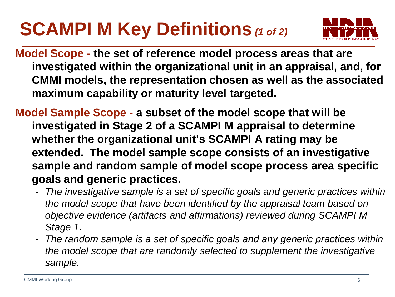# **SCAMPI M Key Definitions** *(1 of 2)*



**Model Scope - the set of reference model process areas that are investigated within the organizational unit in an appraisal, and, for CMMI models, the representation chosen as well as the associated maximum capability or maturity level targeted.**

**Model Sample Scope - a subset of the model scope that will be investigated in Stage 2 of a SCAMPI M appraisal to determine whether the organizational unit's SCAMPI A rating may be extended. The model sample scope consists of an investigative sample and random sample of model scope process area specific goals and generic practices.**

- *The investigative sample is a set of specific goals and generic practices within the model scope that have been identified by the appraisal team based on objective evidence (artifacts and affirmations) reviewed during SCAMPI M Stage 1*.
- *The random sample is a set of specific goals and any generic practices within the model scope that are randomly selected to supplement the investigative sample.*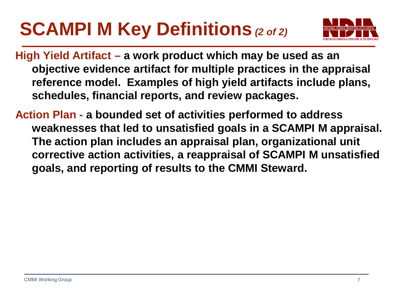# **SCAMPI M Key Definitions** *(2 of 2)*



**High Yield Artifact – a work product which may be used as an objective evidence artifact for multiple practices in the appraisal reference model. Examples of high yield artifacts include plans, schedules, financial reports, and review packages.**

**Action Plan - a bounded set of activities performed to address weaknesses that led to unsatisfied goals in a SCAMPI M appraisal. The action plan includes an appraisal plan, organizational unit corrective action activities, a reappraisal of SCAMPI M unsatisfied goals, and reporting of results to the CMMI Steward.**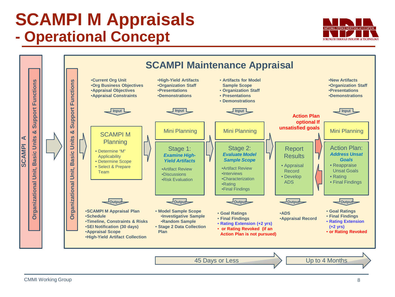## **SCAMPI M Appraisals - Operational Concept**



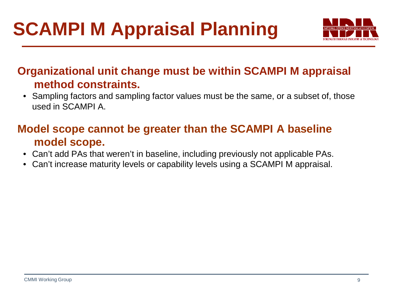

### **Organizational unit change must be within SCAMPI M appraisal method constraints.**

• Sampling factors and sampling factor values must be the same, or a subset of, those used in SCAMPI A.

### **Model scope cannot be greater than the SCAMPI A baseline model scope.**

- Can't add PAs that weren't in baseline, including previously not applicable PAs.
- Can't increase maturity levels or capability levels using a SCAMPI M appraisal.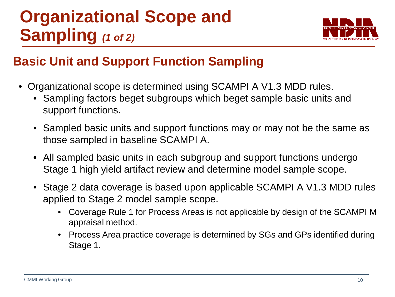## **Organizational Scope and Sampling** *(1 of 2)*



## **Basic Unit and Support Function Sampling**

- Organizational scope is determined using SCAMPI A V1.3 MDD rules.
	- Sampling factors beget subgroups which beget sample basic units and support functions.
	- Sampled basic units and support functions may or may not be the same as those sampled in baseline SCAMPI A.
	- All sampled basic units in each subgroup and support functions undergo Stage 1 high yield artifact review and determine model sample scope.
	- Stage 2 data coverage is based upon applicable SCAMPI A V1.3 MDD rules applied to Stage 2 model sample scope.
		- Coverage Rule 1 for Process Areas is not applicable by design of the SCAMPI M appraisal method.
		- Process Area practice coverage is determined by SGs and GPs identified during Stage 1.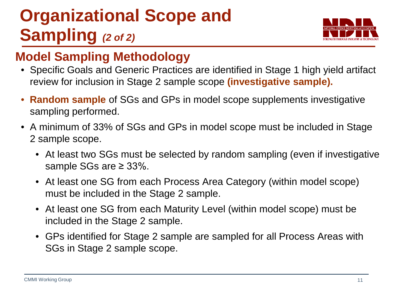## **Organizational Scope and Sampling** *(2 of 2)*



### **Model Sampling Methodology**

- Specific Goals and Generic Practices are identified in Stage 1 high yield artifact review for inclusion in Stage 2 sample scope **(investigative sample).**
- **Random sample** of SGs and GPs in model scope supplements investigative sampling performed.
- A minimum of 33% of SGs and GPs in model scope must be included in Stage 2 sample scope.
	- At least two SGs must be selected by random sampling (even if investigative sample SGs are ≥ 33%.
	- At least one SG from each Process Area Category (within model scope) must be included in the Stage 2 sample.
	- At least one SG from each Maturity Level (within model scope) must be included in the Stage 2 sample.
	- GPs identified for Stage 2 sample are sampled for all Process Areas with SGs in Stage 2 sample scope.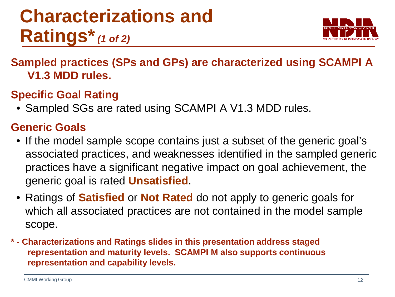## **Characterizations and Ratings\****(1 of 2)*



**Sampled practices (SPs and GPs) are characterized using SCAMPI A V1.3 MDD rules.**

### **Specific Goal Rating**

• Sampled SGs are rated using SCAMPI A V1.3 MDD rules.

#### **Generic Goals**

- If the model sample scope contains just a subset of the generic goal's associated practices, and weaknesses identified in the sampled generic practices have a significant negative impact on goal achievement, the generic goal is rated **Unsatisfied**.
- Ratings of **Satisfied** or **Not Rated** do not apply to generic goals for which all associated practices are not contained in the model sample scope.
- **\* - Characterizations and Ratings slides in this presentation address staged representation and maturity levels. SCAMPI M also supports continuous representation and capability levels.**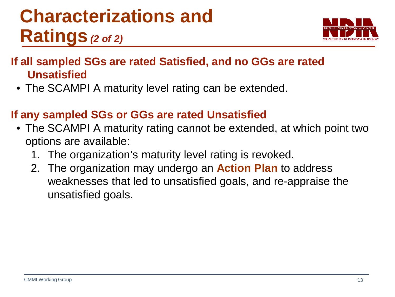## **Characterizations and Ratings** *(2 of 2)*



### **If all sampled SGs are rated Satisfied, and no GGs are rated Unsatisfied**

• The SCAMPI A maturity level rating can be extended.

### **If any sampled SGs or GGs are rated Unsatisfied**

- The SCAMPI A maturity rating cannot be extended, at which point two options are available:
	- 1. The organization's maturity level rating is revoked.
	- 2. The organization may undergo an **Action Plan** to address weaknesses that led to unsatisfied goals, and re-appraise the unsatisfied goals.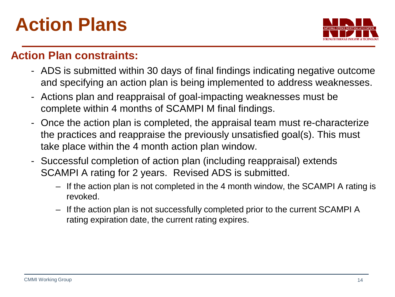## **Action Plans**



#### **Action Plan constraints:**

- ADS is submitted within 30 days of final findings indicating negative outcome and specifying an action plan is being implemented to address weaknesses.
- Actions plan and reappraisal of goal-impacting weaknesses must be complete within 4 months of SCAMPI M final findings.
- Once the action plan is completed, the appraisal team must re-characterize the practices and reappraise the previously unsatisfied goal(s). This must take place within the 4 month action plan window.
- Successful completion of action plan (including reappraisal) extends SCAMPI A rating for 2 years. Revised ADS is submitted.
	- If the action plan is not completed in the 4 month window, the SCAMPI A rating is revoked.
	- If the action plan is not successfully completed prior to the current SCAMPI A rating expiration date, the current rating expires.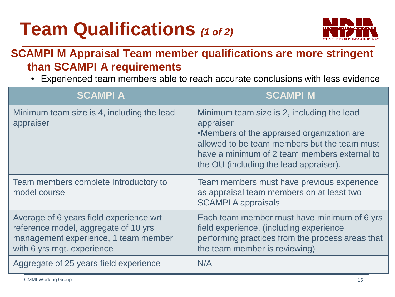# **Team Qualifications** *(1 of 2)*



#### **SCAMPI M Appraisal Team member qualifications are more stringent than SCAMPI A requirements**

• Experienced team members able to reach accurate conclusions with less evidence

| <b>SCAMPIA</b>                                                                                                                                        | <b>SCAMPI M</b>                                                                                                                                                                                                                                 |
|-------------------------------------------------------------------------------------------------------------------------------------------------------|-------------------------------------------------------------------------------------------------------------------------------------------------------------------------------------------------------------------------------------------------|
| Minimum team size is 4, including the lead<br>appraiser                                                                                               | Minimum team size is 2, including the lead<br>appraiser<br>•Members of the appraised organization are<br>allowed to be team members but the team must<br>have a minimum of 2 team members external to<br>the OU (including the lead appraiser). |
| Team members complete Introductory to<br>model course                                                                                                 | Team members must have previous experience<br>as appraisal team members on at least two<br><b>SCAMPI A appraisals</b>                                                                                                                           |
| Average of 6 years field experience wrt<br>reference model, aggregate of 10 yrs<br>management experience, 1 team member<br>with 6 yrs mgt. experience | Each team member must have minimum of 6 yrs<br>field experience, (including experience<br>performing practices from the process areas that<br>the team member is reviewing)                                                                     |
| Aggregate of 25 years field experience                                                                                                                | N/A                                                                                                                                                                                                                                             |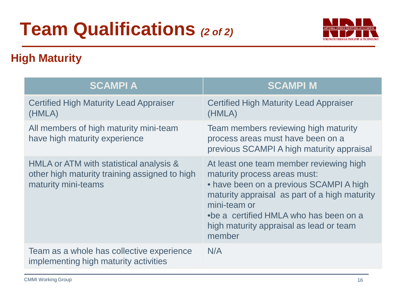# **Team Qualifications** *(2 of 2)*



### **High Maturity**

| <b>SCAMPIA</b>                                                                                                  | <b>SCAMPI M</b>                                                                                                                                                                                                                                                                    |
|-----------------------------------------------------------------------------------------------------------------|------------------------------------------------------------------------------------------------------------------------------------------------------------------------------------------------------------------------------------------------------------------------------------|
| <b>Certified High Maturity Lead Appraiser</b><br>(HMLA)                                                         | <b>Certified High Maturity Lead Appraiser</b><br>(HMLA)                                                                                                                                                                                                                            |
| All members of high maturity mini-team<br>have high maturity experience                                         | Team members reviewing high maturity<br>process areas must have been on a<br>previous SCAMPI A high maturity appraisal                                                                                                                                                             |
| HMLA or ATM with statistical analysis &<br>other high maturity training assigned to high<br>maturity mini-teams | At least one team member reviewing high<br>maturity process areas must:<br>• have been on a previous SCAMPI A high<br>maturity appraisal as part of a high maturity<br>mini-team or<br>•be a certified HMLA who has been on a<br>high maturity appraisal as lead or team<br>member |
| Team as a whole has collective experience<br>implementing high maturity activities                              | N/A                                                                                                                                                                                                                                                                                |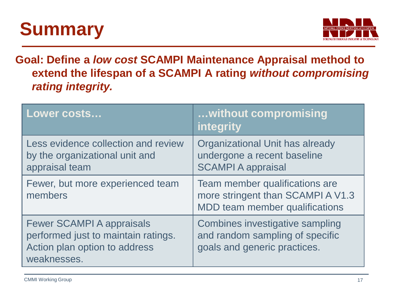# **Summary**



**Goal: Define a** *low cost* **SCAMPI Maintenance Appraisal method to extend the lifespan of a SCAMPI A rating** *without compromising rating integrity.*

| Lower costs                                                                                                             | without compromising<br>integrity                                                                     |
|-------------------------------------------------------------------------------------------------------------------------|-------------------------------------------------------------------------------------------------------|
| Less evidence collection and review<br>by the organizational unit and<br>appraisal team                                 | Organizational Unit has already<br>undergone a recent baseline<br><b>SCAMPI A appraisal</b>           |
| Fewer, but more experienced team<br>members                                                                             | Team member qualifications are<br>more stringent than SCAMPI A V1.3<br>MDD team member qualifications |
| <b>Fewer SCAMPI A appraisals</b><br>performed just to maintain ratings.<br>Action plan option to address<br>weaknesses. | Combines investigative sampling<br>and random sampling of specific<br>goals and generic practices.    |